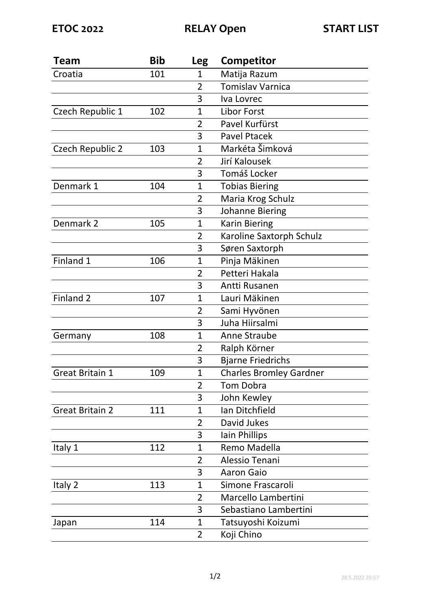| Team                    | <b>Bib</b> | <b>Leg</b>     | Competitor                     |
|-------------------------|------------|----------------|--------------------------------|
| Croatia                 | 101        | 1              | Matija Razum                   |
|                         |            | $\overline{2}$ | <b>Tomislav Varnica</b>        |
|                         |            | 3              | Iva Lovrec                     |
| Czech Republic 1        | 102        | $\mathbf{1}$   | <b>Libor Forst</b>             |
|                         |            | $\overline{2}$ | Pavel Kurfürst                 |
|                         |            | 3              | <b>Pavel Ptacek</b>            |
| <b>Czech Republic 2</b> | 103        | $\mathbf{1}$   | Markéta Šimková                |
|                         |            | $\overline{2}$ | Jirí Kalousek                  |
|                         |            | 3              | Tomáš Locker                   |
| Denmark 1               | 104        | 1              | <b>Tobias Biering</b>          |
|                         |            | $\overline{2}$ | Maria Krog Schulz              |
|                         |            | 3              | <b>Johanne Biering</b>         |
| Denmark 2               | 105        | 1              | <b>Karin Biering</b>           |
|                         |            | 2              | Karoline Saxtorph Schulz       |
|                         |            | 3              | Søren Saxtorph                 |
| Finland 1               | 106        | $\mathbf{1}$   | Pinja Mäkinen                  |
|                         |            | $\overline{2}$ | Petteri Hakala                 |
|                         |            | 3              | Antti Rusanen                  |
| Finland 2               | 107        | 1              | Lauri Mäkinen                  |
|                         |            | $\overline{2}$ | Sami Hyvönen                   |
|                         |            | 3              | Juha Hiirsalmi                 |
| Germany                 | 108        | $\mathbf{1}$   | Anne Straube                   |
|                         |            | $\overline{2}$ | Ralph Körner                   |
|                         |            | 3              | <b>Bjarne Friedrichs</b>       |
| <b>Great Britain 1</b>  | 109        | 1              | <b>Charles Bromley Gardner</b> |
|                         |            | $\overline{2}$ | Tom Dobra                      |
|                         |            | 3              | John Kewley                    |
| <b>Great Britain 2</b>  | 111        | 1              | Ian Ditchfield                 |
|                         |            | 2              | David Jukes                    |
|                         |            | 3              | Iain Phillips                  |
| Italy 1                 | 112        | $\mathbf{1}$   | Remo Madella                   |
|                         |            | 2              | Alessio Tenani                 |
|                         |            | 3              | <b>Aaron Gaio</b>              |
| Italy 2                 | 113        | 1              | Simone Frascaroli              |
|                         |            | $\overline{2}$ | Marcello Lambertini            |
|                         |            | 3              | Sebastiano Lambertini          |
| Japan                   | 114        | $\mathbf{1}$   | Tatsuyoshi Koizumi             |
|                         |            | $\overline{2}$ | Koji Chino                     |